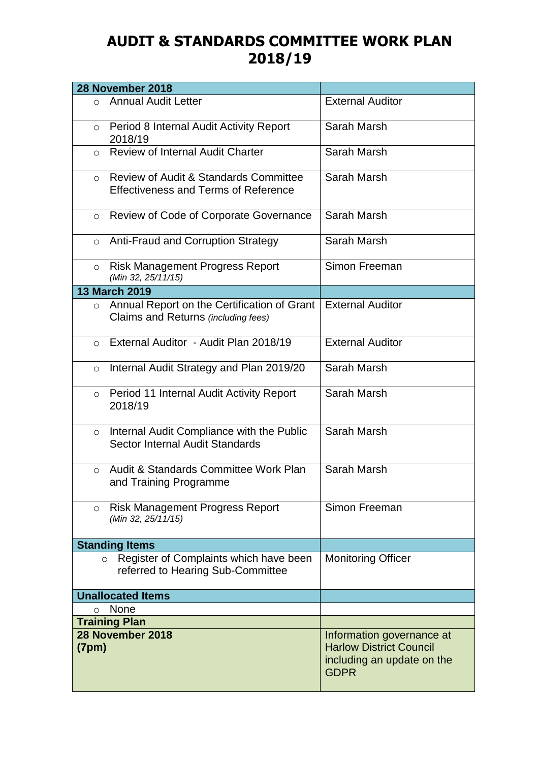## **AUDIT & STANDARDS COMMITTEE WORK PLAN 2018/19**

| 28 November 2018                                                                                           |                                                                                                          |
|------------------------------------------------------------------------------------------------------------|----------------------------------------------------------------------------------------------------------|
| <b>Annual Audit Letter</b><br>$\circ$                                                                      | <b>External Auditor</b>                                                                                  |
| Period 8 Internal Audit Activity Report<br>$\circ$<br>2018/19                                              | Sarah Marsh                                                                                              |
| <b>Review of Internal Audit Charter</b><br>$\circ$                                                         | Sarah Marsh                                                                                              |
| <b>Review of Audit &amp; Standards Committee</b><br>$\circ$<br><b>Effectiveness and Terms of Reference</b> | Sarah Marsh                                                                                              |
| Review of Code of Corporate Governance<br>$\circ$                                                          | Sarah Marsh                                                                                              |
| <b>Anti-Fraud and Corruption Strategy</b><br>$\circ$                                                       | Sarah Marsh                                                                                              |
| <b>Risk Management Progress Report</b><br>$\circ$<br>(Min 32, 25/11/15)                                    | Simon Freeman                                                                                            |
| <b>13 March 2019</b>                                                                                       |                                                                                                          |
| Annual Report on the Certification of Grant<br>$\circ$<br>Claims and Returns (including fees)              | <b>External Auditor</b>                                                                                  |
| External Auditor - Audit Plan 2018/19<br>$\Omega$                                                          | <b>External Auditor</b>                                                                                  |
| Internal Audit Strategy and Plan 2019/20<br>$\circ$                                                        | Sarah Marsh                                                                                              |
| Period 11 Internal Audit Activity Report<br>$\circ$<br>2018/19                                             | Sarah Marsh                                                                                              |
| Internal Audit Compliance with the Public<br>$\circ$<br>Sector Internal Audit Standards                    | Sarah Marsh                                                                                              |
| Audit & Standards Committee Work Plan<br>$\circ$<br>and Training Programme                                 | Sarah Marsh                                                                                              |
| <b>Risk Management Progress Report</b><br>$\circ$<br>(Min 32, 25/11/15)                                    | Simon Freeman                                                                                            |
| <b>Standing Items</b>                                                                                      |                                                                                                          |
| Register of Complaints which have been<br>$\circ$<br>referred to Hearing Sub-Committee                     | <b>Monitoring Officer</b>                                                                                |
| <b>Unallocated Items</b>                                                                                   |                                                                                                          |
| None<br>$\circ$                                                                                            |                                                                                                          |
| <b>Training Plan</b>                                                                                       |                                                                                                          |
| 28 November 2018<br>(7pm)                                                                                  | Information governance at<br><b>Harlow District Council</b><br>including an update on the<br><b>GDPR</b> |